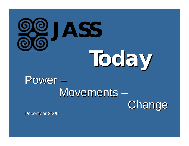

# **Today**

### Power – Movements –



December 2009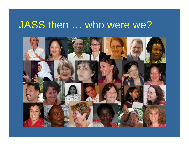### JASS then … who were we?

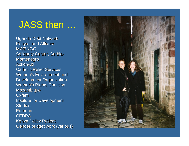### JASS then …

**Uganda Debt Network** Kenya Land Alliance **MWENGO** Solidarity Center, Serbia-**Montenegro** ActionAid Catholic Relief Services Women's Environment and Development Organization Women's Rights Coalition, **Mozambique Oxfam Institute for Development Studies Eurodad** CEDPA Kenya Policy Project Gender budget work (various)

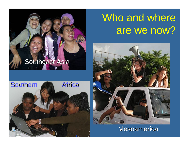### Who and where are we now?

#### Mesoamerica

#### Southeast Asia

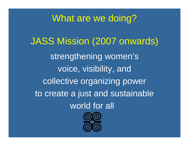### What are we doing?

JASS Mission (2007 onwards) strengthening women's voice, visibility, and collective organizing power to create a just and sustainable world for all

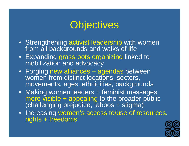### **Objectives**

- Strengthening activist leadership with women from all backgrounds and walks of life
- Expanding grassroots organizing linked to mobilization and advocacy
- Forging new alliances + agendas between women from distinct locations, sectors, movements, ages, ethnicities, backgrounds
- Making women leaders + feminist messages more visible + appealing to the broader public (challenging prejudice, taboos + stigma)
- Increasing women's access to/use of resources, rights + freedoms

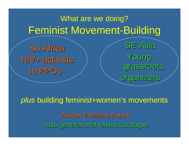### What are we doing? Feminist Movement-Building

**Sn Africa** HIV+ activists in PPOs

**SE Asia** Young, grassroots grassroots organizers

*plus* building feminist+women's movements African Feminist Forum multi -generational feminist dialogue generational feminist dialogue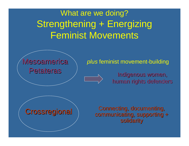### What are we doing? Strengthening + Energizing Feminist Movements



#### *plus* feminist movement-building

Indigenous women, human rights defenders

#### Connecting, documenting, communicating, supporting + solidarity

#### **Crossregional**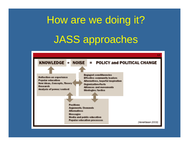## How are we doing it? JASS approaches

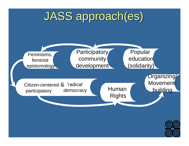### JASS approach(es)



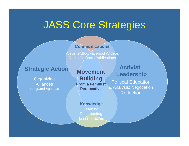### JASS Core Strategies

#### **Leadership Communications**

Website/Blog/Facebook/Videos Radio Program/Publications

#### **Strategic Action**

A II:<br>A II:<br>A II: AlliancesOrganizing Integrated Agendas

**Movement Building From a Feminist Perspective**

#### **Activist Leadership**

Political Education & Analysis; Negotiation **Reflection** 

#### **Kanding**<br>Besuites **Knowledge** Documenting

**Disseminating**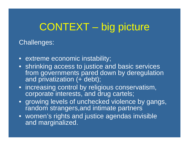### CONTEXT – big picture

Challenges:

- extreme economic instability;
- shrinking access to justice and basic services from governments pared down by deregulation and privatization  $(+$  debt);
- increasing control by religious conservatism, corporate interests, and drug cartels;
- growing levels of unchecked violence by gangs, random strangers, and intimate partners
- women's rights and justice agendas invisible and marginalized.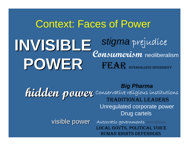### Context: Faces of Power **INVISIBLE POWER** *stigma* prejudice **Consumerism** neoliberalism FEAR INTERNALIZED INFERIORITY

Big Pharma<br>**hidden power** conservative religious institutions Unregulated corporate power Drug cartels

**visible power** Autocratic governments corruption LOCAL GOVTS, POLITICAL VOICE HUMAN RIGHTS DEFENDERS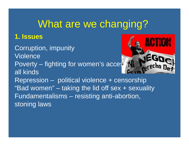### What are we changing?

#### **1. Issues**

- Corruption, impunity Violence
- Poverty fighting for women's access all kinds



Repression – political violence + censorship "Bad women" – taking the lid off sex + sexuality Fundamentalisms – resisting anti-abortion, stoning laws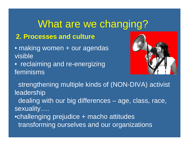### What are we changing?

#### **2. Processes and culture**

- making women + our agendas visible
- reclaiming and re-energizing feminisms



strengthening multiple kinds of (NON-DIVA) activist leadership

dealing with our big differences – age, class, race, sexuality….

•challenging prejudice + macho attitudes transforming ourselves and our organizations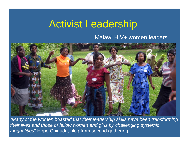### Activist Leadership

#### Malawi HIV+ women leaders



*"Many of the women boasted that their leadership skills have been transforming their lives and those of fellow women and girls by challenging systemic inequalities*" Hope Chigudu, blog from second gathering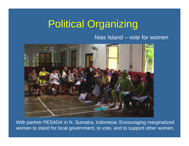### Political Organizing

#### Nias Island – vote for women



With partner PESADA in N. Sumatra, Indonesia: Encouraging marginalized women to stand for local government, to vote, and to support other women.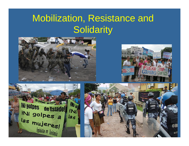### Mobilization, Resistance and **Solidarity**







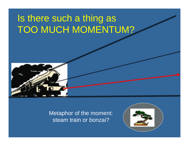### Is there such a thing as TOO MUCH MOMENTUM?



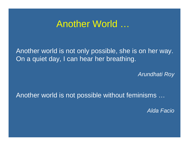### Another World …

Another world is not only possible, she is on her way. On a quiet day, I can hear her breathing.

*Arundhati Roy*

Another world is not possible without feminisms …

*Alda Facio*